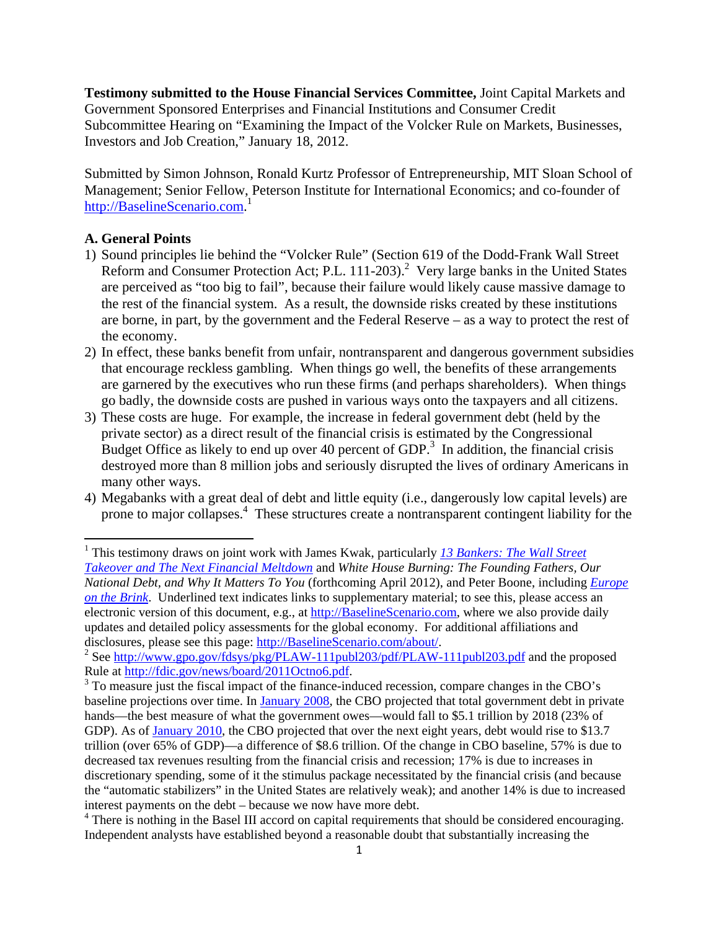**Testimony submitted to the House Financial Services Committee,** Joint Capital Markets and Government Sponsored Enterprises and Financial Institutions and Consumer Credit Subcommittee Hearing on "Examining the Impact of the Volcker Rule on Markets, Businesses, Investors and Job Creation," January 18, 2012.

Submitted by Simon Johnson, Ronald Kurtz Professor of Entrepreneurship, MIT Sloan School of Management; Senior Fellow, Peterson Institute for International Economics; and co-founder of http://BaselineScenario.com.<sup>1</sup>

#### **A. General Points**

- 1) Sound principles lie behind the "Volcker Rule" (Section 619 of the Dodd-Frank Wall Street Reform and Consumer Protection Act; P.L. 111-203).<sup>2</sup> Very large banks in the United States are perceived as "too big to fail", because their failure would likely cause massive damage to the rest of the financial system. As a result, the downside risks created by these institutions are borne, in part, by the government and the Federal Reserve – as a way to protect the rest of the economy.
- 2) In effect, these banks benefit from unfair, nontransparent and dangerous government subsidies that encourage reckless gambling. When things go well, the benefits of these arrangements are garnered by the executives who run these firms (and perhaps shareholders). When things go badly, the downside costs are pushed in various ways onto the taxpayers and all citizens.
- 3) These costs are huge. For example, the increase in federal government debt (held by the private sector) as a direct result of the financial crisis is estimated by the Congressional Budget Office as likely to end up over 40 percent of GDP.<sup>3</sup> In addition, the financial crisis destroyed more than 8 million jobs and seriously disrupted the lives of ordinary Americans in many other ways.
- 4) Megabanks with a great deal of debt and little equity (i.e., dangerously low capital levels) are prone to major collapses.<sup>4</sup> These structures create a nontransparent contingent liability for the

 1 This testimony draws on joint work with James Kwak, particularly *13 Bankers: The Wall Street Takeover and The Next Financial Meltdown* and *White House Burning: The Founding Fathers, Our National Debt, and Why It Matters To You* (forthcoming April 2012), and Peter Boone, including *Europe on the Brink*. Underlined text indicates links to supplementary material; to see this, please access an electronic version of this document, e.g., at http://BaselineScenario.com, where we also provide daily updates and detailed policy assessments for the global economy. For additional affiliations and disclosures, please see this page: http://BaselineScenario.com/about/.

<sup>&</sup>lt;sup>2</sup> See http://www.gpo.gov/fdsys/pkg/PLAW-111publ203/pdf/PLAW-111publ203.pdf and the proposed Rule at http://fdic.gov/news/board/2011Octno6.pdf.

<sup>&</sup>lt;sup>3</sup> To measure just the fiscal impact of the finance-induced recession, compare changes in the CBO's baseline projections over time. In January 2008, the CBO projected that total government debt in private hands—the best measure of what the government owes—would fall to \$5.1 trillion by 2018 (23% of GDP). As of January 2010, the CBO projected that over the next eight years, debt would rise to \$13.7 trillion (over 65% of GDP)—a difference of \$8.6 trillion. Of the change in CBO baseline, 57% is due to decreased tax revenues resulting from the financial crisis and recession; 17% is due to increases in discretionary spending, some of it the stimulus package necessitated by the financial crisis (and because the "automatic stabilizers" in the United States are relatively weak); and another 14% is due to increased interest payments on the debt – because we now have more debt.

<sup>&</sup>lt;sup>4</sup> There is nothing in the Basel III accord on capital requirements that should be considered encouraging. Independent analysts have established beyond a reasonable doubt that substantially increasing the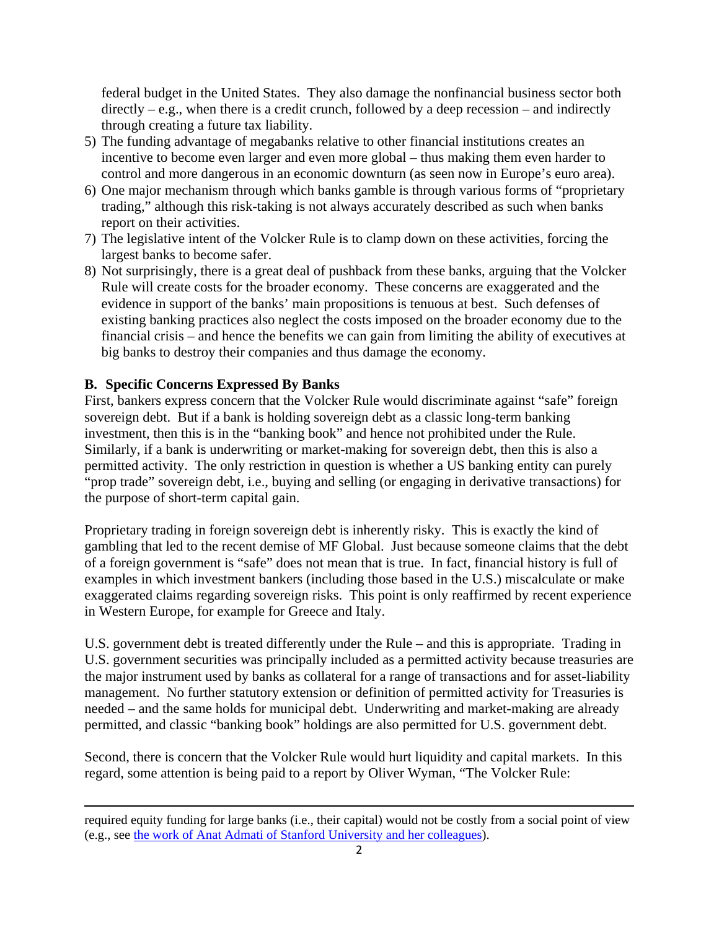federal budget in the United States. They also damage the nonfinancial business sector both directly – e.g., when there is a credit crunch, followed by a deep recession – and indirectly through creating a future tax liability.

- 5) The funding advantage of megabanks relative to other financial institutions creates an incentive to become even larger and even more global – thus making them even harder to control and more dangerous in an economic downturn (as seen now in Europe's euro area).
- 6) One major mechanism through which banks gamble is through various forms of "proprietary trading," although this risk-taking is not always accurately described as such when banks report on their activities.
- 7) The legislative intent of the Volcker Rule is to clamp down on these activities, forcing the largest banks to become safer.
- 8) Not surprisingly, there is a great deal of pushback from these banks, arguing that the Volcker Rule will create costs for the broader economy. These concerns are exaggerated and the evidence in support of the banks' main propositions is tenuous at best. Such defenses of existing banking practices also neglect the costs imposed on the broader economy due to the financial crisis – and hence the benefits we can gain from limiting the ability of executives at big banks to destroy their companies and thus damage the economy.

## **B. Specific Concerns Expressed By Banks**

First, bankers express concern that the Volcker Rule would discriminate against "safe" foreign sovereign debt. But if a bank is holding sovereign debt as a classic long-term banking investment, then this is in the "banking book" and hence not prohibited under the Rule. Similarly, if a bank is underwriting or market-making for sovereign debt, then this is also a permitted activity. The only restriction in question is whether a US banking entity can purely "prop trade" sovereign debt, i.e., buying and selling (or engaging in derivative transactions) for the purpose of short-term capital gain.

Proprietary trading in foreign sovereign debt is inherently risky. This is exactly the kind of gambling that led to the recent demise of MF Global. Just because someone claims that the debt of a foreign government is "safe" does not mean that is true. In fact, financial history is full of examples in which investment bankers (including those based in the U.S.) miscalculate or make exaggerated claims regarding sovereign risks. This point is only reaffirmed by recent experience in Western Europe, for example for Greece and Italy.

U.S. government debt is treated differently under the Rule – and this is appropriate. Trading in U.S. government securities was principally included as a permitted activity because treasuries are the major instrument used by banks as collateral for a range of transactions and for asset-liability management. No further statutory extension or definition of permitted activity for Treasuries is needed – and the same holds for municipal debt. Underwriting and market-making are already permitted, and classic "banking book" holdings are also permitted for U.S. government debt.

Second, there is concern that the Volcker Rule would hurt liquidity and capital markets. In this regard, some attention is being paid to a report by Oliver Wyman, "The Volcker Rule:

<sup>&</sup>lt;u> 1989 - Johann Stein, marwolaethau a gweledydd a ganlad y ganlad y ganlad y ganlad y ganlad y ganlad y ganlad</u> required equity funding for large banks (i.e., their capital) would not be costly from a social point of view (e.g., see the work of Anat Admati of Stanford University and her colleagues).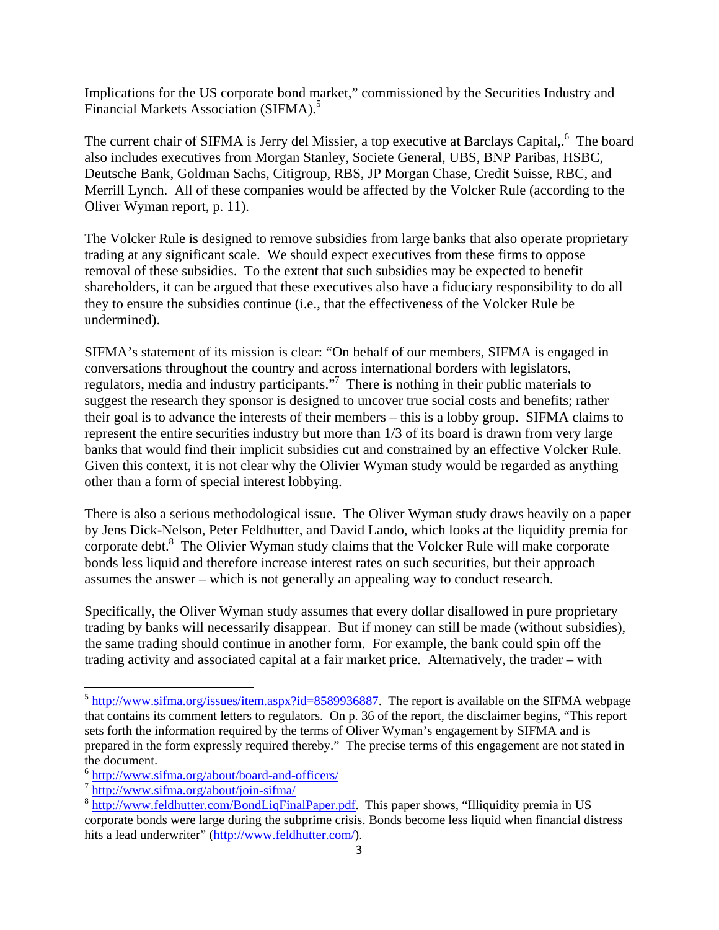Implications for the US corporate bond market," commissioned by the Securities Industry and Financial Markets Association (SIFMA).<sup>5</sup>

The current chair of SIFMA is Jerry del Missier, a top executive at Barclays Capital,.<sup>6</sup> The board also includes executives from Morgan Stanley, Societe General, UBS, BNP Paribas, HSBC, Deutsche Bank, Goldman Sachs, Citigroup, RBS, JP Morgan Chase, Credit Suisse, RBC, and Merrill Lynch. All of these companies would be affected by the Volcker Rule (according to the Oliver Wyman report, p. 11).

The Volcker Rule is designed to remove subsidies from large banks that also operate proprietary trading at any significant scale. We should expect executives from these firms to oppose removal of these subsidies. To the extent that such subsidies may be expected to benefit shareholders, it can be argued that these executives also have a fiduciary responsibility to do all they to ensure the subsidies continue (i.e., that the effectiveness of the Volcker Rule be undermined).

SIFMA's statement of its mission is clear: "On behalf of our members, SIFMA is engaged in conversations throughout the country and across international borders with legislators, regulators, media and industry participants."<sup>7</sup> There is nothing in their public materials to suggest the research they sponsor is designed to uncover true social costs and benefits; rather their goal is to advance the interests of their members – this is a lobby group. SIFMA claims to represent the entire securities industry but more than 1/3 of its board is drawn from very large banks that would find their implicit subsidies cut and constrained by an effective Volcker Rule. Given this context, it is not clear why the Olivier Wyman study would be regarded as anything other than a form of special interest lobbying.

There is also a serious methodological issue. The Oliver Wyman study draws heavily on a paper by Jens Dick-Nelson, Peter Feldhutter, and David Lando, which looks at the liquidity premia for corporate debt.<sup>8</sup> The Olivier Wyman study claims that the Volcker Rule will make corporate bonds less liquid and therefore increase interest rates on such securities, but their approach assumes the answer – which is not generally an appealing way to conduct research.

Specifically, the Oliver Wyman study assumes that every dollar disallowed in pure proprietary trading by banks will necessarily disappear. But if money can still be made (without subsidies), the same trading should continue in another form. For example, the bank could spin off the trading activity and associated capital at a fair market price. Alternatively, the trader – with

 $5 \frac{\text{http://www.sifma.org/issues/item.aspx?id=8589936887}}{$  The report is available on the SIFMA webpage that contains its comment letters to regulators. On p. 36 of the report, the disclaimer begins, "This report sets forth the information required by the terms of Oliver Wyman's engagement by SIFMA and is prepared in the form expressly required thereby." The precise terms of this engagement are not stated in the document.<br><sup>6</sup> http://www.sifma.org/about/board-and-officers/

 $\frac{8 \text{ http://www.sifma.org/about/join-sifma/}}{8 \text{http://www.sifma.org/about/join-sifma/}}$ <br> $\frac{8 \text{http://www.feldhutter.com/BondLiqFinalPaper.pdf}}{8 \text{http://www.feldhutter.com/BondLiqFinalPaper.pdf}}$ . This paper shows, "Illiquidity premia in US corporate bonds were large during the subprime crisis. Bonds become less liquid when financial distress hits a lead underwriter" (http://www.feldhutter.com/).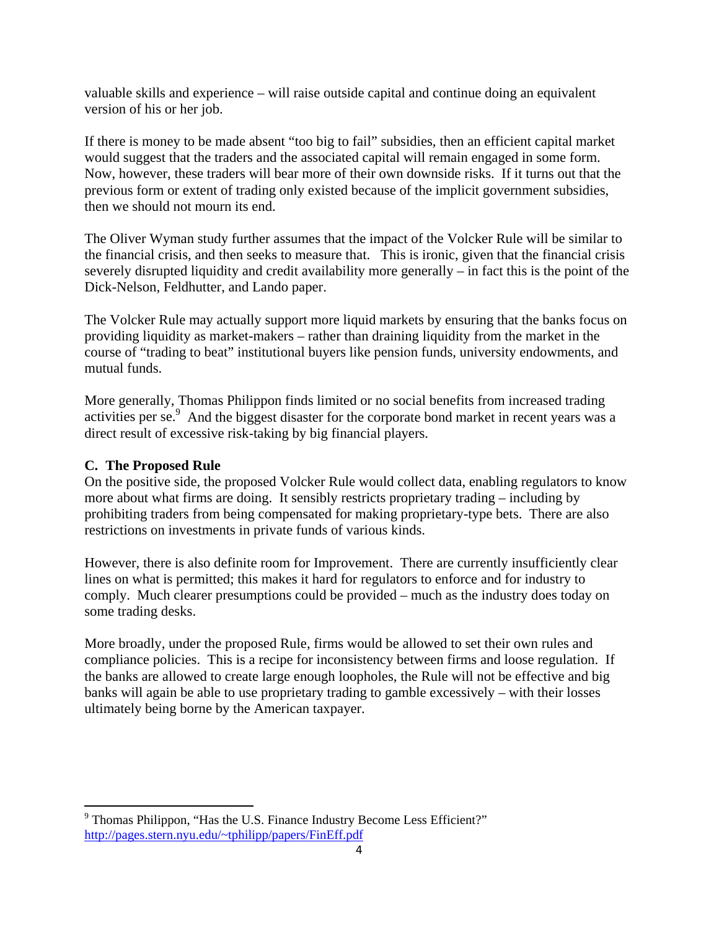valuable skills and experience – will raise outside capital and continue doing an equivalent version of his or her job.

If there is money to be made absent "too big to fail" subsidies, then an efficient capital market would suggest that the traders and the associated capital will remain engaged in some form. Now, however, these traders will bear more of their own downside risks. If it turns out that the previous form or extent of trading only existed because of the implicit government subsidies, then we should not mourn its end.

The Oliver Wyman study further assumes that the impact of the Volcker Rule will be similar to the financial crisis, and then seeks to measure that. This is ironic, given that the financial crisis severely disrupted liquidity and credit availability more generally – in fact this is the point of the Dick-Nelson, Feldhutter, and Lando paper.

The Volcker Rule may actually support more liquid markets by ensuring that the banks focus on providing liquidity as market-makers – rather than draining liquidity from the market in the course of "trading to beat" institutional buyers like pension funds, university endowments, and mutual funds.

More generally, Thomas Philippon finds limited or no social benefits from increased trading activities per se.<sup>9</sup> And the biggest disaster for the corporate bond market in recent years was a direct result of excessive risk-taking by big financial players.

## **C. The Proposed Rule**

On the positive side, the proposed Volcker Rule would collect data, enabling regulators to know more about what firms are doing. It sensibly restricts proprietary trading – including by prohibiting traders from being compensated for making proprietary-type bets. There are also restrictions on investments in private funds of various kinds.

However, there is also definite room for Improvement. There are currently insufficiently clear lines on what is permitted; this makes it hard for regulators to enforce and for industry to comply. Much clearer presumptions could be provided – much as the industry does today on some trading desks.

More broadly, under the proposed Rule, firms would be allowed to set their own rules and compliance policies. This is a recipe for inconsistency between firms and loose regulation. If the banks are allowed to create large enough loopholes, the Rule will not be effective and big banks will again be able to use proprietary trading to gamble excessively – with their losses ultimately being borne by the American taxpayer.

<sup>&</sup>lt;sup>9</sup> Thomas Philippon, "Has the U.S. Finance Industry Become Less Efficient?" http://pages.stern.nyu.edu/~tphilipp/papers/FinEff.pdf